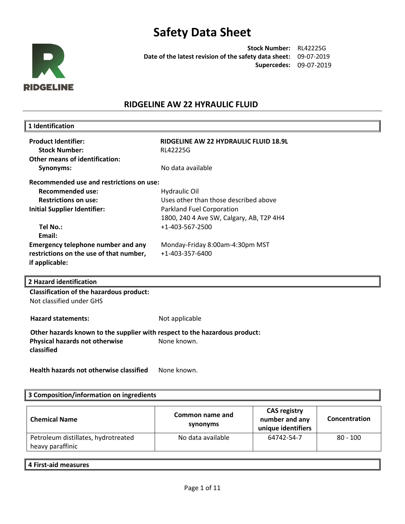

**Stock Number:** RL42225G **Date of the latest revision of the safety data sheet:** 09-07-2019 **Supercedes:** 09-07-2019

## **RIDGELINE AW 22 HYRAULIC FLUID**

| 1 Identification                                                           |                                          |
|----------------------------------------------------------------------------|------------------------------------------|
| <b>Product Identifier:</b>                                                 | RIDGELINE AW 22 HYDRAULIC FLUID 18.9L    |
| <b>Stock Number:</b>                                                       | <b>RL42225G</b>                          |
| <b>Other means of identification:</b>                                      |                                          |
|                                                                            | No data available                        |
| Synonyms:                                                                  |                                          |
| <b>Recommended use and restrictions on use:</b>                            |                                          |
| <b>Recommended use:</b>                                                    | Hydraulic Oil                            |
| <b>Restrictions on use:</b>                                                | Uses other than those described above    |
| <b>Initial Supplier Identifier:</b>                                        | Parkland Fuel Corporation                |
|                                                                            | 1800, 240 4 Ave SW, Calgary, AB, T2P 4H4 |
| Tel No.:                                                                   | +1-403-567-2500                          |
| Email:                                                                     |                                          |
| Emergency telephone number and any                                         | Monday-Friday 8:00am-4:30pm MST          |
| restrictions on the use of that number,                                    | +1-403-357-6400                          |
| if applicable:                                                             |                                          |
|                                                                            |                                          |
| 2 Hazard identification                                                    |                                          |
| <b>Classification of the hazardous product:</b>                            |                                          |
| Not classified under GHS                                                   |                                          |
|                                                                            |                                          |
| <b>Hazard statements:</b>                                                  | Not applicable                           |
| Other hazards known to the supplier with respect to the hazardous product: |                                          |
| Physical hazards not otherwise                                             | None known.                              |
| classified                                                                 |                                          |
|                                                                            |                                          |
| <b>Health hazards not otherwise classified</b>                             | None known.                              |
|                                                                            |                                          |

## **3 Composition/information on ingredients**

| <b>Chemical Name</b>                                    | Common name and<br>synonyms | <b>CAS registry</b><br>number and any<br>unique identifiers | Concentration |
|---------------------------------------------------------|-----------------------------|-------------------------------------------------------------|---------------|
| Petroleum distillates, hydrotreated<br>heavy paraffinic | No data available           | 64742-54-7                                                  | $80 - 100$    |

#### **4 First-aid measures**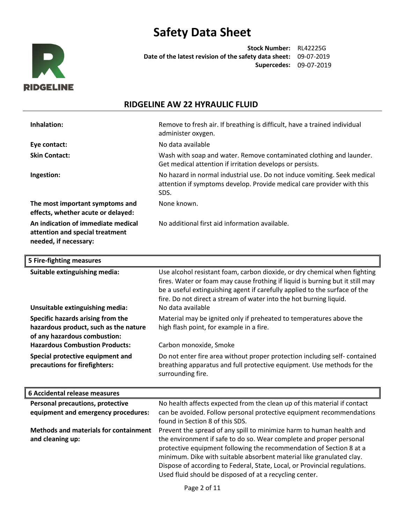

**Stock Number:** RL42225G **Date of the latest revision of the safety data sheet:** 09-07-2019 **Supercedes:** 09-07-2019

# **RIDGELINE AW 22 HYRAULIC FLUID**

| Inhalation:                                                                                    | Remove to fresh air. If breathing is difficult, have a trained individual<br>administer oxygen.                                                            |
|------------------------------------------------------------------------------------------------|------------------------------------------------------------------------------------------------------------------------------------------------------------|
| Eye contact:                                                                                   | No data available                                                                                                                                          |
| <b>Skin Contact:</b>                                                                           | Wash with soap and water. Remove contaminated clothing and launder.<br>Get medical attention if irritation develops or persists.                           |
| Ingestion:                                                                                     | No hazard in normal industrial use. Do not induce vomiting. Seek medical<br>attention if symptoms develop. Provide medical care provider with this<br>SDS. |
| The most important symptoms and<br>effects, whether acute or delayed:                          | None known.                                                                                                                                                |
| An indication of immediate medical<br>attention and special treatment<br>needed, if necessary: | No additional first aid information available.                                                                                                             |

| 5 Fire-fighting measures                                                                                   |                                                                                                                                                                                                                                                                                                                                     |
|------------------------------------------------------------------------------------------------------------|-------------------------------------------------------------------------------------------------------------------------------------------------------------------------------------------------------------------------------------------------------------------------------------------------------------------------------------|
| Suitable extinguishing media:<br>Unsuitable extinguishing media:                                           | Use alcohol resistant foam, carbon dioxide, or dry chemical when fighting<br>fires. Water or foam may cause frothing if liquid is burning but it still may<br>be a useful extinguishing agent if carefully applied to the surface of the<br>fire. Do not direct a stream of water into the hot burning liquid.<br>No data available |
| Specific hazards arising from the<br>hazardous product, such as the nature<br>of any hazardous combustion: | Material may be ignited only if preheated to temperatures above the<br>high flash point, for example in a fire.                                                                                                                                                                                                                     |
| <b>Hazardous Combustion Products:</b>                                                                      | Carbon monoxide, Smoke                                                                                                                                                                                                                                                                                                              |
| Special protective equipment and<br>precautions for firefighters:                                          | Do not enter fire area without proper protection including self-contained<br>breathing apparatus and full protective equipment. Use methods for the<br>surrounding fire.                                                                                                                                                            |

| 6 Accidental release measures                |                                                                           |
|----------------------------------------------|---------------------------------------------------------------------------|
| Personal precautions, protective             | No health affects expected from the clean up of this material if contact  |
| equipment and emergency procedures:          | can be avoided. Follow personal protective equipment recommendations      |
|                                              | found in Section 8 of this SDS.                                           |
| <b>Methods and materials for containment</b> | Prevent the spread of any spill to minimize harm to human health and      |
| and cleaning up:                             | the environment if safe to do so. Wear complete and proper personal       |
|                                              | protective equipment following the recommendation of Section 8 at a       |
|                                              | minimum. Dike with suitable absorbent material like granulated clay.      |
|                                              | Dispose of according to Federal, State, Local, or Provincial regulations. |
|                                              | Used fluid should be disposed of at a recycling center.                   |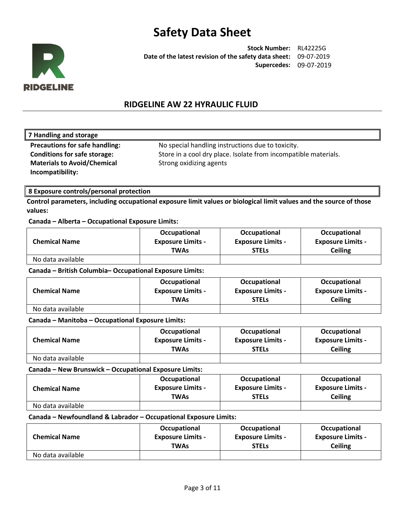

**Stock Number:** RL42225G **Date of the latest revision of the safety data sheet:** 09-07-2019 **Supercedes:** 09-07-2019

## **RIDGELINE AW 22 HYRAULIC FLUID**

### **7 Handling and storage**

**Materials to Avoid/Chemical Incompatibility:** 

**Precautions for safe handling:** No special handling instructions due to toxicity. **Conditions for safe storage:** Store in a cool dry place. Isolate from incompatible materials. Strong oxidizing agents

### **8 Exposure controls/personal protection**

**Control parameters, including occupational exposure limit values or biological limit values and the source of those values:**

### **Canada – Alberta – Occupational Exposure Limits:**

|                      | Occupational             | Occupational             | Occupational             |
|----------------------|--------------------------|--------------------------|--------------------------|
| <b>Chemical Name</b> | <b>Exposure Limits -</b> | <b>Exposure Limits -</b> | <b>Exposure Limits -</b> |
|                      | TWAs                     | <b>STELs</b>             | Ceiling                  |
| No data available    |                          |                          |                          |

### **Canada – British Columbia– Occupational Exposure Limits:**

| <b>Chemical Name</b> | Occupational             | Occupational             | Occupational             |
|----------------------|--------------------------|--------------------------|--------------------------|
|                      | <b>Exposure Limits -</b> | <b>Exposure Limits -</b> | <b>Exposure Limits -</b> |
|                      | TWAs                     | <b>STELs</b>             | <b>Ceiling</b>           |
| No data available    |                          |                          |                          |

### **Canada – Manitoba – Occupational Exposure Limits:**

| <b>Chemical Name</b> | Occupational             | Occupational             | Occupational             |
|----------------------|--------------------------|--------------------------|--------------------------|
|                      | <b>Exposure Limits -</b> | <b>Exposure Limits -</b> | <b>Exposure Limits -</b> |
|                      | <b>TWAs</b>              | <b>STELS</b>             | <b>Ceiling</b>           |
| No data available    |                          |                          |                          |

### **Canada – New Brunswick – Occupational Exposure Limits:**

|                      | Occupational             | Occupational             | Occupational             |
|----------------------|--------------------------|--------------------------|--------------------------|
| <b>Chemical Name</b> | <b>Exposure Limits -</b> | <b>Exposure Limits -</b> | <b>Exposure Limits -</b> |
|                      | TWAs                     | <b>STELs</b>             | <b>Ceiling</b>           |
| No data available    |                          |                          |                          |

### **Canada – Newfoundland & Labrador – Occupational Exposure Limits:**

| <b>Chemical Name</b> | Occupational             | Occupational             | Occupational             |
|----------------------|--------------------------|--------------------------|--------------------------|
|                      | <b>Exposure Limits -</b> | <b>Exposure Limits -</b> | <b>Exposure Limits -</b> |
|                      | <b>TWAs</b>              | <b>STELs</b>             | <b>Ceiling</b>           |
| No data available    |                          |                          |                          |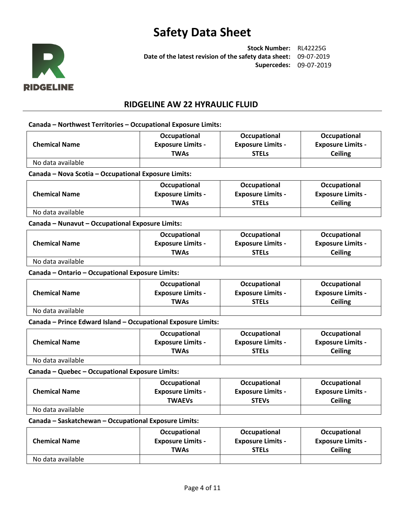

**Stock Number:** RL42225G **Date of the latest revision of the safety data sheet:** 09-07-2019 **Supercedes:** 09-07-2019

## **RIDGELINE AW 22 HYRAULIC FLUID**

#### **Canada – Northwest Territories – Occupational Exposure Limits:**

|                                                      | Occupational                                                  | Occupational             | <b>Occupational</b>      |
|------------------------------------------------------|---------------------------------------------------------------|--------------------------|--------------------------|
| <b>Chemical Name</b>                                 | <b>Exposure Limits -</b>                                      | <b>Exposure Limits -</b> | <b>Exposure Limits -</b> |
|                                                      | <b>TWAs</b>                                                   | <b>STELS</b>             | <b>Ceiling</b>           |
| No data available                                    |                                                               |                          |                          |
| Canada - Nova Scotia - Occupational Exposure Limits: |                                                               |                          |                          |
|                                                      | Occupational                                                  | Occupational             | Occupational             |
| <b>Chemical Name</b>                                 | <b>Exposure Limits -</b>                                      | <b>Exposure Limits -</b> | <b>Exposure Limits -</b> |
|                                                      | <b>TWAs</b>                                                   | <b>STELs</b>             | <b>Ceiling</b>           |
| No data available                                    |                                                               |                          |                          |
| Canada - Nunavut - Occupational Exposure Limits:     |                                                               |                          |                          |
|                                                      | Occupational                                                  | Occupational             | Occupational             |
| <b>Chemical Name</b>                                 | <b>Exposure Limits -</b>                                      | <b>Exposure Limits -</b> | <b>Exposure Limits -</b> |
|                                                      | <b>TWAs</b>                                                   | <b>STELs</b>             | <b>Ceiling</b>           |
| No data available                                    |                                                               |                          |                          |
| Canada - Ontario - Occupational Exposure Limits:     |                                                               |                          |                          |
|                                                      | Occupational                                                  | Occupational             | Occupational             |
| <b>Chemical Name</b>                                 | <b>Exposure Limits -</b>                                      | <b>Exposure Limits -</b> | <b>Exposure Limits -</b> |
|                                                      | <b>TWAs</b>                                                   | <b>STELS</b>             | <b>Ceiling</b>           |
| No data available                                    |                                                               |                          |                          |
|                                                      | Canada - Prince Edward Island - Occupational Exposure Limits: |                          |                          |
|                                                      | Occupational                                                  | Occupational             | Occupational             |
| <b>Chemical Name</b>                                 | <b>Exposure Limits -</b>                                      | <b>Exposure Limits -</b> | <b>Exposure Limits -</b> |
|                                                      | <b>TWAs</b>                                                   | <b>STELs</b>             | <b>Ceiling</b>           |
| No data available                                    |                                                               |                          |                          |

#### **Canada – Quebec – Occupational Exposure Limits:**

| <b>Chemical Name</b> | Occupational             | Occupational             | Occupational             |
|----------------------|--------------------------|--------------------------|--------------------------|
|                      | <b>Exposure Limits -</b> | <b>Exposure Limits -</b> | <b>Exposure Limits -</b> |
|                      | <b>TWAEVs</b>            | <b>STEVs</b>             | Ceiling                  |
| No data available    |                          |                          |                          |

#### **Canada – Saskatchewan – Occupational Exposure Limits:**

| <b>Chemical Name</b> | Occupational             | Occupational             | Occupational             |
|----------------------|--------------------------|--------------------------|--------------------------|
|                      | <b>Exposure Limits -</b> | <b>Exposure Limits -</b> | <b>Exposure Limits -</b> |
|                      | <b>TWAs</b>              | <b>STELs</b>             | Ceiling                  |
| No data available    |                          |                          |                          |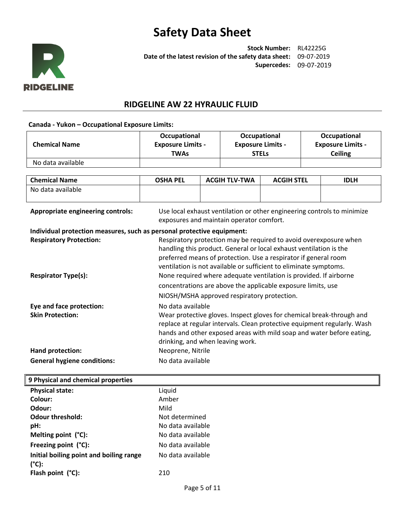

**Stock Number:** RL42225G **Date of the latest revision of the safety data sheet:** 09-07-2019 **Supercedes:** 09-07-2019

## **RIDGELINE AW 22 HYRAULIC FLUID**

#### **Canada - Yukon – Occupational Exposure Limits:**

| <b>Chemical Name</b>                                                   | Occupational<br><b>Exposure Limits -</b><br><b>TWAs</b>                                                                                                                                                                                                                         |  | Occupational<br><b>Exposure Limits -</b><br><b>STELs</b> |                   | Occupational<br><b>Exposure Limits -</b><br><b>Ceiling</b> |             |
|------------------------------------------------------------------------|---------------------------------------------------------------------------------------------------------------------------------------------------------------------------------------------------------------------------------------------------------------------------------|--|----------------------------------------------------------|-------------------|------------------------------------------------------------|-------------|
| No data available                                                      |                                                                                                                                                                                                                                                                                 |  |                                                          |                   |                                                            |             |
| <b>Chemical Name</b>                                                   | <b>OSHA PEL</b>                                                                                                                                                                                                                                                                 |  | <b>ACGIH TLV-TWA</b>                                     | <b>ACGIH STEL</b> |                                                            | <b>IDLH</b> |
| No data available                                                      |                                                                                                                                                                                                                                                                                 |  |                                                          |                   |                                                            |             |
| <b>Appropriate engineering controls:</b>                               | Use local exhaust ventilation or other engineering controls to minimize<br>exposures and maintain operator comfort.                                                                                                                                                             |  |                                                          |                   |                                                            |             |
| Individual protection measures, such as personal protective equipment: |                                                                                                                                                                                                                                                                                 |  |                                                          |                   |                                                            |             |
| <b>Respiratory Protection:</b>                                         | Respiratory protection may be required to avoid overexposure when<br>handling this product. General or local exhaust ventilation is the<br>preferred means of protection. Use a respirator if general room<br>ventilation is not available or sufficient to eliminate symptoms. |  |                                                          |                   |                                                            |             |
| <b>Respirator Type(s):</b>                                             | None required where adequate ventilation is provided. If airborne<br>concentrations are above the applicable exposure limits, use<br>NIOSH/MSHA approved respiratory protection.                                                                                                |  |                                                          |                   |                                                            |             |
| Eye and face protection:                                               | No data available                                                                                                                                                                                                                                                               |  |                                                          |                   |                                                            |             |
| <b>Skin Protection:</b>                                                | Wear protective gloves. Inspect gloves for chemical break-through and<br>replace at regular intervals. Clean protective equipment regularly. Wash<br>hands and other exposed areas with mild soap and water before eating,<br>drinking, and when leaving work.                  |  |                                                          |                   |                                                            |             |
| Hand protection:                                                       | Neoprene, Nitrile                                                                                                                                                                                                                                                               |  |                                                          |                   |                                                            |             |
| <b>General hygiene conditions:</b>                                     | No data available                                                                                                                                                                                                                                                               |  |                                                          |                   |                                                            |             |

## **9 Physical and chemical properties**

| <b>Physical state:</b>                                     | Liquid            |
|------------------------------------------------------------|-------------------|
| Colour:                                                    | Amber             |
| Odour:                                                     | Mild              |
| <b>Odour threshold:</b>                                    | Not determined    |
| pH:                                                        | No data available |
| Melting point (°C):                                        | No data available |
| Freezing point (°C):                                       | No data available |
| Initial boiling point and boiling range<br>$(^{\circ}C)$ : | No data available |
| Flash point $(^{\circ}C)$ :                                | 210               |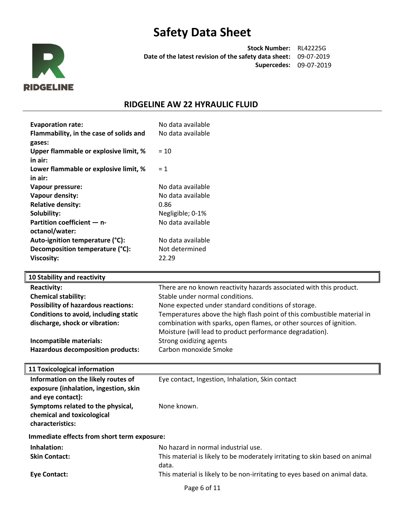

**Stock Number:** RL42225G **Date of the latest revision of the safety data sheet:** 09-07-2019 **Supercedes:** 09-07-2019

# **RIDGELINE AW 22 HYRAULIC FLUID**

| <b>Evaporation rate:</b>                                   | No data available                                                       |
|------------------------------------------------------------|-------------------------------------------------------------------------|
| Flammability, in the case of solids and                    | No data available                                                       |
| gases:                                                     |                                                                         |
| Upper flammable or explosive limit, %                      | $= 10$                                                                  |
| in air:                                                    |                                                                         |
| Lower flammable or explosive limit, %                      | $= 1$                                                                   |
| in air:                                                    |                                                                         |
| Vapour pressure:                                           | No data available                                                       |
| Vapour density:                                            | No data available                                                       |
| <b>Relative density:</b>                                   | 0.86                                                                    |
| Solubility:                                                | Negligible; 0-1%                                                        |
| Partition coefficient - n-                                 | No data available                                                       |
| octanol/water:                                             |                                                                         |
| Auto-ignition temperature (°C):                            | No data available                                                       |
| Decomposition temperature (°C):                            | Not determined                                                          |
| <b>Viscosity:</b>                                          | 22.29                                                                   |
|                                                            |                                                                         |
| 10 Stability and reactivity                                |                                                                         |
|                                                            | There are no known reactivity hazards associated with this product.     |
| <b>Reactivity:</b>                                         |                                                                         |
| <b>Chemical stability:</b>                                 | Stable under normal conditions.                                         |
| <b>Possibility of hazardous reactions:</b>                 | None expected under standard conditions of storage.                     |
| Conditions to avoid, including static                      | Temperatures above the high flash point of this combustible material in |
| discharge, shock or vibration:                             | combination with sparks, open flames, or other sources of ignition.     |
|                                                            | Moisture (will lead to product performance degradation).                |
| Incompatible materials:                                    | Strong oxidizing agents                                                 |
| <b>Hazardous decomposition products:</b>                   | Carbon monoxide Smoke                                                   |
|                                                            |                                                                         |
| <b>11 Toxicological information</b>                        |                                                                         |
| Information on the likely routes of                        | Eye contact, Ingestion, Inhalation, Skin contact                        |
| exposure (inhalation, ingestion, skin                      |                                                                         |
| and eye contact):                                          |                                                                         |
| Symptoms related to the physical,                          | None known.                                                             |
| chemical and toxicological                                 |                                                                         |
| characteristics:                                           |                                                                         |
|                                                            |                                                                         |
| Immediate effects from short term exposure:<br>Inhalation: | No hazard in normal industrial use.                                     |

**Skin Contact:** This material is likely to be moderately irritating to skin based on animal data.

**Eye Contact:** This material is likely to be non-irritating to eyes based on animal data.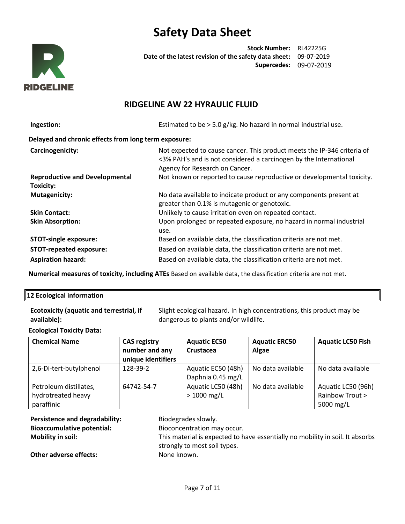

**Stock Number:** RL42225G **Date of the latest revision of the safety data sheet:** 09-07-2019 **Supercedes:** 09-07-2019

## **RIDGELINE AW 22 HYRAULIC FLUID**

| Ingestion:                                           | Estimated to be > 5.0 g/kg. No hazard in normal industrial use.                                                                                                                |  |  |  |
|------------------------------------------------------|--------------------------------------------------------------------------------------------------------------------------------------------------------------------------------|--|--|--|
| Delayed and chronic effects from long term exposure: |                                                                                                                                                                                |  |  |  |
| Carcinogenicity:                                     | Not expected to cause cancer. This product meets the IP-346 criteria of<br><3% PAH's and is not considered a carcinogen by the International<br>Agency for Research on Cancer. |  |  |  |
| <b>Reproductive and Developmental</b><br>Toxicity:   | Not known or reported to cause reproductive or developmental toxicity.                                                                                                         |  |  |  |
| <b>Mutagenicity:</b>                                 | No data available to indicate product or any components present at<br>greater than 0.1% is mutagenic or genotoxic.                                                             |  |  |  |
| <b>Skin Contact:</b>                                 | Unlikely to cause irritation even on repeated contact.                                                                                                                         |  |  |  |
| <b>Skin Absorption:</b>                              | Upon prolonged or repeated exposure, no hazard in normal industrial<br>use.                                                                                                    |  |  |  |
| <b>STOT-single exposure:</b>                         | Based on available data, the classification criteria are not met.                                                                                                              |  |  |  |
| <b>STOT-repeated exposure:</b>                       | Based on available data, the classification criteria are not met.                                                                                                              |  |  |  |
| <b>Aspiration hazard:</b>                            | Based on available data, the classification criteria are not met.                                                                                                              |  |  |  |

**Numerical measures of toxicity, including ATEs** Based on available data, the classification criteria are not met.

#### **12 Ecological information**

| <b>Ecotoxicity (aquatic and terrestrial, if</b> | Slight ecological hazard. In high concentrations, this product may be |
|-------------------------------------------------|-----------------------------------------------------------------------|
| available):                                     | dangerous to plants and/or wildlife.                                  |

### **Ecological Toxicity Data:**

| <b>Chemical Name</b>                                       | <b>CAS registry</b><br>number and any<br>unique identifiers | <b>Aquatic EC50</b><br>Crustacea        | <b>Aquatic ERC50</b><br>Algae | <b>Aquatic LC50 Fish</b>                           |
|------------------------------------------------------------|-------------------------------------------------------------|-----------------------------------------|-------------------------------|----------------------------------------------------|
| 2,6-Di-tert-butylphenol                                    | 128-39-2                                                    | Aquatic EC50 (48h)<br>Daphnia 0.45 mg/L | No data available             | No data available                                  |
| Petroleum distillates,<br>hydrotreated heavy<br>paraffinic | 64742-54-7                                                  | Aquatic LC50 (48h)<br>$> 1000$ mg/L     | No data available             | Aquatic LC50 (96h)<br>Rainbow Trout ><br>5000 mg/L |

Persistence and degradability: Biodegrades slowly. **Bioaccumulative potential:** Bioconcentration may occur.

**Mobility in soil:** This material is expected to have essentially no mobility in soil. It absorbs strongly to most soil types.

**Other adverse effects:** None known.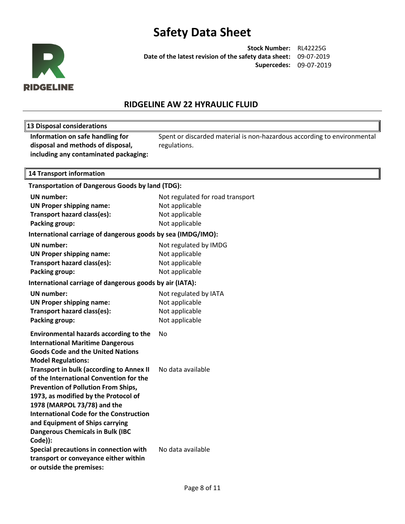

**Stock Number:** RL42225G **Date of the latest revision of the safety data sheet:** 09-07-2019 **Supercedes:** 09-07-2019

# **RIDGELINE AW 22 HYRAULIC FLUID**

| 13 Disposal considerations                                                                                                                                                                                                                                                                                                                                 |                                                                                         |
|------------------------------------------------------------------------------------------------------------------------------------------------------------------------------------------------------------------------------------------------------------------------------------------------------------------------------------------------------------|-----------------------------------------------------------------------------------------|
| Information on safe handling for<br>disposal and methods of disposal,<br>including any contaminated packaging:                                                                                                                                                                                                                                             | Spent or discarded material is non-hazardous according to environmental<br>regulations. |
| <b>14 Transport information</b>                                                                                                                                                                                                                                                                                                                            |                                                                                         |
| Transportation of Dangerous Goods by land (TDG):                                                                                                                                                                                                                                                                                                           |                                                                                         |
| <b>UN number:</b>                                                                                                                                                                                                                                                                                                                                          | Not regulated for road transport                                                        |
| <b>UN Proper shipping name:</b>                                                                                                                                                                                                                                                                                                                            | Not applicable                                                                          |
| Transport hazard class(es):                                                                                                                                                                                                                                                                                                                                | Not applicable                                                                          |
| Packing group:                                                                                                                                                                                                                                                                                                                                             | Not applicable                                                                          |
| International carriage of dangerous goods by sea (IMDG/IMO):                                                                                                                                                                                                                                                                                               |                                                                                         |
| <b>UN number:</b>                                                                                                                                                                                                                                                                                                                                          | Not regulated by IMDG                                                                   |
| <b>UN Proper shipping name:</b>                                                                                                                                                                                                                                                                                                                            | Not applicable                                                                          |
| Transport hazard class(es):                                                                                                                                                                                                                                                                                                                                | Not applicable                                                                          |
| <b>Packing group:</b>                                                                                                                                                                                                                                                                                                                                      | Not applicable                                                                          |
| International carriage of dangerous goods by air (IATA):                                                                                                                                                                                                                                                                                                   |                                                                                         |
| <b>UN</b> number:                                                                                                                                                                                                                                                                                                                                          | Not regulated by IATA                                                                   |
| <b>UN Proper shipping name:</b>                                                                                                                                                                                                                                                                                                                            | Not applicable                                                                          |
| Transport hazard class(es):                                                                                                                                                                                                                                                                                                                                | Not applicable                                                                          |
| <b>Packing group:</b>                                                                                                                                                                                                                                                                                                                                      | Not applicable                                                                          |
| <b>Environmental hazards according to the</b><br><b>International Maritime Dangerous</b><br><b>Goods Code and the United Nations</b><br><b>Model Regulations:</b>                                                                                                                                                                                          | No.                                                                                     |
| <b>Transport in bulk (according to Annex II</b><br>of the International Convention for the<br><b>Prevention of Pollution From Ships,</b><br>1973, as modified by the Protocol of<br>1978 (MARPOL 73/78) and the<br><b>International Code for the Construction</b><br>and Equipment of Ships carrying<br><b>Dangerous Chemicals in Bulk (IBC</b><br>Code)): | No data available                                                                       |
| Special precautions in connection with<br>transport or conveyance either within<br>or outside the premises:                                                                                                                                                                                                                                                | No data available                                                                       |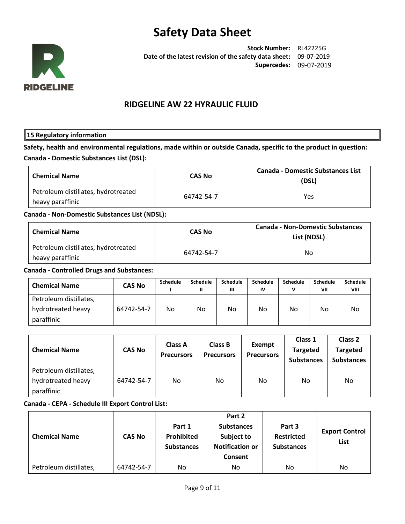

**Stock Number:** RL42225G **Date of the latest revision of the safety data sheet:** 09-07-2019 **Supercedes:** 09-07-2019

## **RIDGELINE AW 22 HYRAULIC FLUID**

### **15 Regulatory information**

**Safety, health and environmental regulations, made within or outside Canada, specific to the product in question: Canada - Domestic Substances List (DSL):**

| <b>Chemical Name</b>                                    | <b>CAS No</b> | <b>Canada - Domestic Substances List</b><br>(DSL) |
|---------------------------------------------------------|---------------|---------------------------------------------------|
| Petroleum distillates, hydrotreated<br>heavy paraffinic | 64742-54-7    | Yes                                               |

### **Canada - Non-Domestic Substances List (NDSL):**

| <b>Chemical Name</b>                                    | <b>CAS No</b> | <b>Canada - Non-Domestic Substances</b><br>List (NDSL) |
|---------------------------------------------------------|---------------|--------------------------------------------------------|
| Petroleum distillates, hydrotreated<br>heavy paraffinic | 64742-54-7    | No                                                     |

#### **Canada - Controlled Drugs and Substances:**

| <b>Chemical Name</b>                                       | <b>CAS No</b> | <b>Schedule</b> | Schedule<br>Ш | <b>Schedule</b><br>Ш | <b>Schedule</b><br>IV | Schedule | <b>Schedule</b><br>VII | <b>Schedule</b><br>VIII |
|------------------------------------------------------------|---------------|-----------------|---------------|----------------------|-----------------------|----------|------------------------|-------------------------|
| Petroleum distillates,<br>hydrotreated heavy<br>paraffinic | 64742-54-7    | No.             | No.           | No                   | No                    | No       | No                     | No                      |

| <b>Chemical Name</b>                                       | <b>CAS No</b> | <b>Class A</b><br><b>Precursors</b> | <b>Class B</b><br><b>Precursors</b> | <b>Exempt</b><br><b>Precursors</b> | Class 1<br><b>Targeted</b><br><b>Substances</b> | Class 2<br><b>Targeted</b><br><b>Substances</b> |
|------------------------------------------------------------|---------------|-------------------------------------|-------------------------------------|------------------------------------|-------------------------------------------------|-------------------------------------------------|
| Petroleum distillates,<br>hydrotreated heavy<br>paraffinic | 64742-54-7    | No.                                 | No.                                 | No.                                | No                                              | No                                              |

### **Canada - CEPA - Schedule III Export Control List:**

| <b>Chemical Name</b>   | <b>CAS No</b> | Part 1<br><b>Prohibited</b><br><b>Substances</b> | Part 2<br><b>Substances</b><br>Subject to<br><b>Notification or</b><br><b>Consent</b> | Part 3<br><b>Restricted</b><br><b>Substances</b> | <b>Export Control</b><br><b>List</b> |
|------------------------|---------------|--------------------------------------------------|---------------------------------------------------------------------------------------|--------------------------------------------------|--------------------------------------|
| Petroleum distillates, | 64742-54-7    | No.                                              | No.                                                                                   | No                                               | No                                   |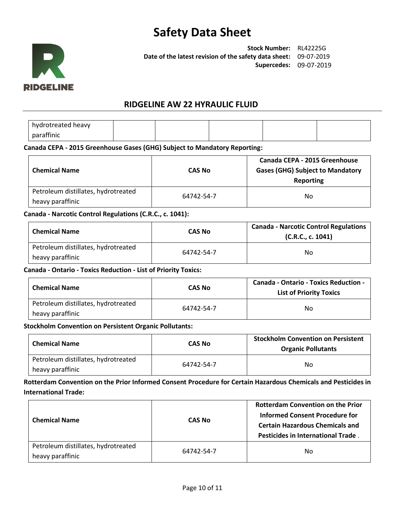

**Stock Number:** RL42225G **Date of the latest revision of the safety data sheet:** 09-07-2019 **Supercedes:** 09-07-2019

## **RIDGELINE AW 22 HYRAULIC FLUID**

hydrotreated heavy paraffinic

### **Canada CEPA - 2015 Greenhouse Gases (GHG) Subject to Mandatory Reporting:**

| <b>Chemical Name</b>                                    | <b>CAS No</b> | Canada CEPA - 2015 Greenhouse<br><b>Gases (GHG) Subject to Mandatory</b><br>Reporting |
|---------------------------------------------------------|---------------|---------------------------------------------------------------------------------------|
| Petroleum distillates, hydrotreated<br>heavy paraffinic | 64742-54-7    | No.                                                                                   |

### **Canada - Narcotic Control Regulations (C.R.C., c. 1041):**

| <b>Chemical Name</b>                                    | CAS No     | <b>Canada - Narcotic Control Regulations</b><br>(C.R.C., c. 1041) |
|---------------------------------------------------------|------------|-------------------------------------------------------------------|
| Petroleum distillates, hydrotreated<br>heavy paraffinic | 64742-54-7 | No                                                                |

## **Canada - Ontario - Toxics Reduction - List of Priority Toxics:**

| <b>Chemical Name</b>                                    | <b>CAS No</b> | <b>Canada - Ontario - Toxics Reduction -</b><br><b>List of Priority Toxics</b> |
|---------------------------------------------------------|---------------|--------------------------------------------------------------------------------|
| Petroleum distillates, hydrotreated<br>heavy paraffinic | 64742-54-7    | No                                                                             |

### **Stockholm Convention on Persistent Organic Pollutants:**

| <b>Chemical Name</b>                                    | CAS No     | <b>Stockholm Convention on Persistent</b><br><b>Organic Pollutants</b> |
|---------------------------------------------------------|------------|------------------------------------------------------------------------|
| Petroleum distillates, hydrotreated<br>heavy paraffinic | 64742-54-7 | No.                                                                    |

**Rotterdam Convention on the Prior Informed Consent Procedure for Certain Hazardous Chemicals and Pesticides in International Trade:**

| <b>Chemical Name</b>                                    | <b>CAS No</b> | <b>Rotterdam Convention on the Prior</b><br>Informed Consent Procedure for<br><b>Certain Hazardous Chemicals and</b><br><b>Pesticides in International Trade.</b> |
|---------------------------------------------------------|---------------|-------------------------------------------------------------------------------------------------------------------------------------------------------------------|
| Petroleum distillates, hydrotreated<br>heavy paraffinic | 64742-54-7    | No                                                                                                                                                                |